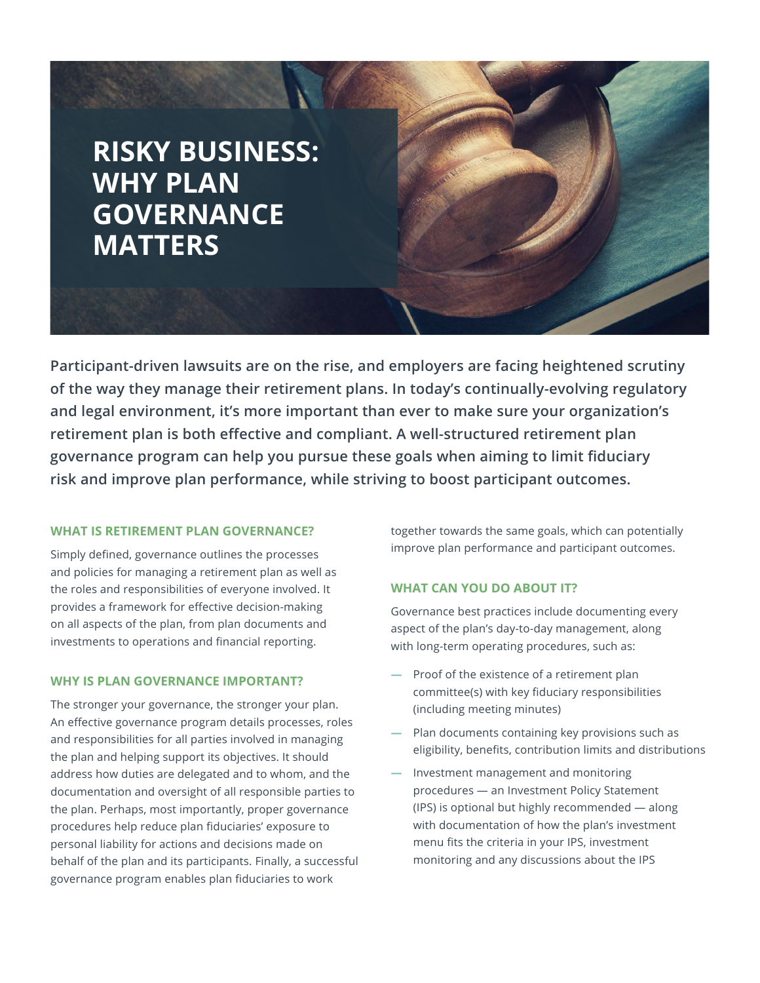# **RISKY BUSINESS: WHY PLAN GOVERNANCE MATTERS**

**Participant-driven lawsuits are on the rise, and employers are facing heightened scrutiny of the way they manage their retirement plans. In today's continually-evolving regulatory and legal environment, it's more important than ever to make sure your organization's retirement plan is both effective and compliant. A well-structured retirement plan governance program can help you pursue these goals when aiming to limit fiduciary risk and improve plan performance, while striving to boost participant outcomes.**

## **WHAT IS RETIREMENT PLAN GOVERNANCE?**

Simply defined, governance outlines the processes and policies for managing a retirement plan as well as the roles and responsibilities of everyone involved. It provides a framework for effective decision-making on all aspects of the plan, from plan documents and investments to operations and financial reporting.

## **WHY IS PLAN GOVERNANCE IMPORTANT?**

The stronger your governance, the stronger your plan. An effective governance program details processes, roles and responsibilities for all parties involved in managing the plan and helping support its objectives. It should address how duties are delegated and to whom, and the documentation and oversight of all responsible parties to the plan. Perhaps, most importantly, proper governance procedures help reduce plan fiduciaries' exposure to personal liability for actions and decisions made on behalf of the plan and its participants. Finally, a successful governance program enables plan fiduciaries to work

together towards the same goals, which can potentially improve plan performance and participant outcomes.

## **WHAT CAN YOU DO ABOUT IT?**

Governance best practices include documenting every aspect of the plan's day-to-day management, along with long-term operating procedures, such as:

- **—** Proof of the existence of a retirement plan committee(s) with key fiduciary responsibilities (including meeting minutes)
- **—** Plan documents containing key provisions such as eligibility, benefits, contribution limits and distributions
- **—** Investment management and monitoring procedures — an Investment Policy Statement (IPS) is optional but highly recommended — along with documentation of how the plan's investment menu fits the criteria in your IPS, investment monitoring and any discussions about the IPS